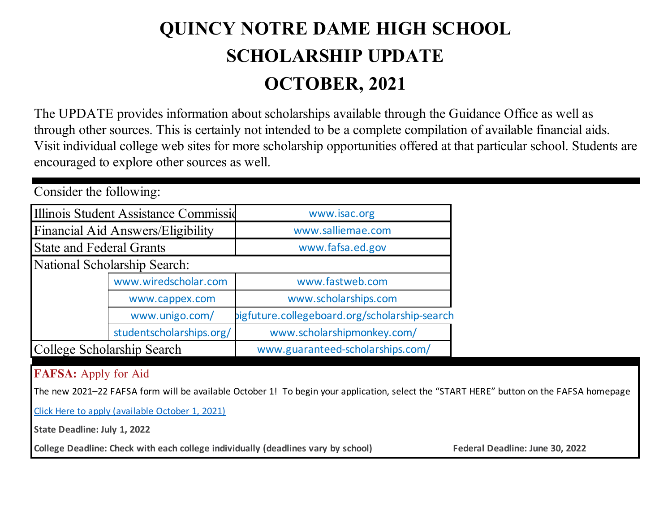## **QUINCY NOTRE DAME HIGH SCHOOL SCHOLARSHIP UPDATE OCTOBER, 2021**

The UPDATE provides information about scholarships available through the Guidance Office as well as through other sources. This is certainly not intended to be a complete compilation of available financial aids. Visit individual college web sites for more scholarship opportunities offered at that particular school. Students are encouraged to explore other sources as well.

| Consider the following:           |                                       |                                               |  |  |  |  |  |
|-----------------------------------|---------------------------------------|-----------------------------------------------|--|--|--|--|--|
|                                   | Illinois Student Assistance Commissid | www.isac.org                                  |  |  |  |  |  |
| Financial Aid Answers/Eligibility |                                       | www.salliemae.com                             |  |  |  |  |  |
| <b>State and Federal Grants</b>   |                                       | www.fafsa.ed.gov                              |  |  |  |  |  |
| National Scholarship Search:      |                                       |                                               |  |  |  |  |  |
|                                   | www.wiredscholar.com                  | www.fastweb.com                               |  |  |  |  |  |
|                                   | www.cappex.com                        | www.scholarships.com                          |  |  |  |  |  |
|                                   | www.unigo.com/                        | bigfuture.collegeboard.org/scholarship-search |  |  |  |  |  |
|                                   | studentscholarships.org/              | www.scholarshipmonkey.com/                    |  |  |  |  |  |
| College Scholarship Search        |                                       | www.guaranteed-scholarships.com/              |  |  |  |  |  |
| $\blacksquare$                    |                                       |                                               |  |  |  |  |  |

## **FAFSA:** Apply for Aid

The new 2021–22 FAFSA form will be available October 1! To begin your application, select the "START HERE" button on the FAFSA homepage

Click Here to apply (available October 1, 2021)

**State Deadline: July 1, 2022**

College Deadline: Check with each college individually (deadlines vary by school) Federal Deadline: June 30, 2022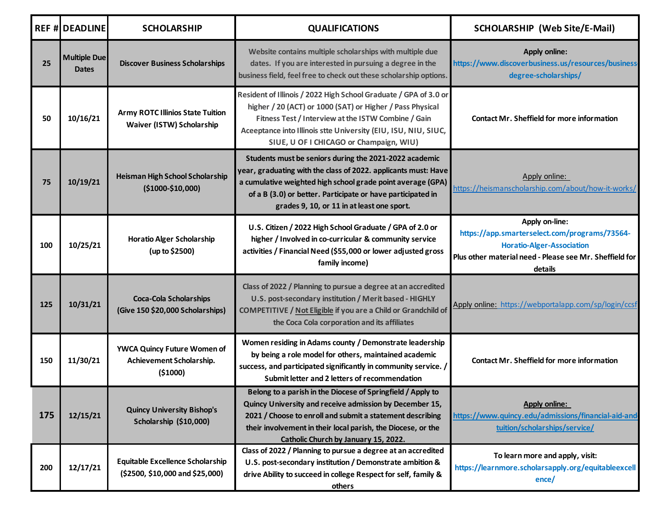|     | <b>REF # DEADLINE</b>               | <b>SCHOLARSHIP</b>                                                         | <b>QUALIFICATIONS</b>                                                                                                                                                                                                                                                                                | <b>SCHOLARSHIP (Web Site/E-Mail)</b>                                                                                                                                      |
|-----|-------------------------------------|----------------------------------------------------------------------------|------------------------------------------------------------------------------------------------------------------------------------------------------------------------------------------------------------------------------------------------------------------------------------------------------|---------------------------------------------------------------------------------------------------------------------------------------------------------------------------|
| 25  | <b>Multiple Due</b><br><b>Dates</b> | <b>Discover Business Scholarships</b>                                      | Website contains multiple scholarships with multiple due<br>dates. If you are interested in pursuing a degree in the<br>business field, feel free to check out these scholarship options.                                                                                                            | <b>Apply online:</b><br>https://www.discoverbusiness.us/resources/business-<br>degree-scholarships/                                                                       |
| 50  | 10/16/21                            | <b>Army ROTC Illinios State Tuition</b><br>Waiver (ISTW) Scholarship       | Resident of Illinois / 2022 High School Graduate / GPA of 3.0 or<br>higher / 20 (ACT) or 1000 (SAT) or Higher / Pass Physical<br>Fitness Test / Interview at the ISTW Combine / Gain<br>Aceeptance into Illinois stte University (EIU, ISU, NIU, SIUC,<br>SIUE, U OF I CHICAGO or Champaign, WIU)    | <b>Contact Mr. Sheffield for more information</b>                                                                                                                         |
| 75  | 10/19/21                            | <b>Heisman High School Scholarship</b><br>$($1000-$10,000)$                | Students must be seniors during the 2021-2022 academic<br>year, graduating with the class of 2022. applicants must: Have<br>a cumulative weighted high school grade point average (GPA)<br>of a B (3.0) or better. Participate or have participated in<br>grades 9, 10, or 11 in at least one sport. | Apply online:<br>https://heismanscholarship.com/about/how-it-works/                                                                                                       |
| 100 | 10/25/21                            | <b>Horatio Alger Scholarship</b><br>(up to \$2500)                         | U.S. Citizen / 2022 High School Graduate / GPA of 2.0 or<br>higher / Involved in co-curricular & community service<br>activities / Financial Need (\$55,000 or lower adjusted gross<br>family income)                                                                                                | Apply on-line:<br>https://app.smarterselect.com/programs/73564-<br><b>Horatio-Alger-Association</b><br>Plus other material need - Please see Mr. Sheffield for<br>details |
| 125 | 10/31/21                            | <b>Coca-Cola Scholarships</b><br>(Give 150 \$20,000 Scholarships)          | Class of 2022 / Planning to pursue a degree at an accredited<br>U.S. post-secondary institution / Merit based - HIGHLY<br>COMPETITIVE / Not Eligible if you are a Child or Grandchild of<br>the Coca Cola corporation and its affiliates                                                             | Apply online: https://webportalapp.com/sp/login/ccsf                                                                                                                      |
| 150 | 11/30/21                            | YWCA Quincy Future Women of<br>Achievement Scholarship.<br>( \$1000)       | Women residing in Adams county / Demonstrate leadership<br>by being a role model for others, maintained academic<br>success, and participated significantly in community service. /<br>Submit letter and 2 letters of recommendation                                                                 | <b>Contact Mr. Sheffield for more information</b>                                                                                                                         |
| 175 | 12/15/21                            | <b>Quincy University Bishop's</b><br>Scholarship (\$10,000)                | Belong to a parish in the Diocese of Springfield / Apply to<br>Quincy University and receive admission by December 15,<br>2021 / Choose to enroll and submit a statement describing<br>their involvement in their local parish, the Diocese, or the<br>Catholic Church by January 15, 2022.          | <b>Apply online:</b><br>https://www.quincy.edu/admissions/financial-aid-and-<br>tuition/scholarships/service/                                                             |
| 200 | 12/17/21                            | <b>Equitable Excellence Scholarship</b><br>(\$2500, \$10,000 and \$25,000) | Class of 2022 / Planning to pursue a degree at an accredited<br>U.S. post-secondary institution / Demonstrate ambition &<br>drive Ability to succeed in college Respect for self, family &<br>others                                                                                                 | To learn more and apply, visit:<br>https://learnmore.scholarsapply.org/equitableexcell<br>encel                                                                           |